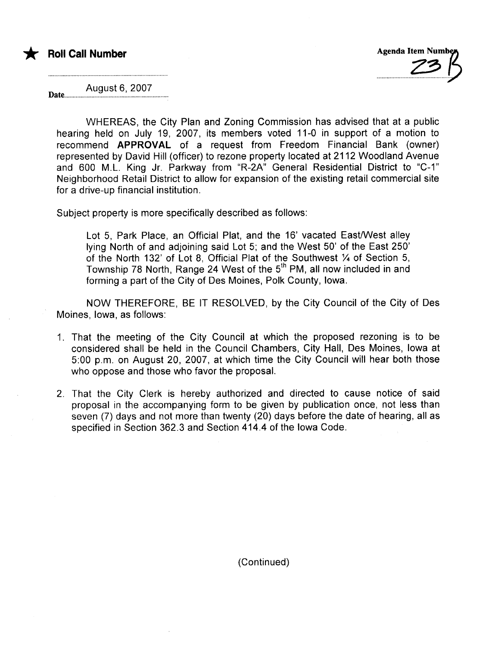



August 6, 2007 Date...

WHEREAS, the City Plan and Zoning Commission has advised that at a public hearing held on July 19, 2007, its members voted 11-0 in support of a motion to recommend APPROVAL of a request from Freedom Financial Bank (owner) represented by David Hill (officer) to rezone property located at 2112 Woodland Avenue and 600 M.L. King Jr. Parkway from "R-2A" General Residential District to "C-1" Neighborhood Retail District to allow for expansion of the existing retail commercial site for a drive-up financial institution.

Subject property is more specifically described as follows:

Lot 5, Park Place, an Official Plat, and the 16' vacated East/West alley lying North of and adjoining said Lot 5; and the West 50' of the East 250' of the North 132' of Lot 8, Official Plat of the Southwest Y4 of Section 5, Township 78 North, Range 24 West of the 5<sup>th</sup> PM, all now included in and forming a part of the City of Des Moines, Polk County, Iowa.

NOW THEREFORE, BE IT RESOLVED, by the City Council of the City of Des Moines, Iowa, as follows:

- 1. That the meeting of the City Council at which the proposed rezoning is to be considered shall be held in the Council Chambers, City Hall, Des Moines, Iowa at 5:00 p.m. on August 20, 2007, at which time the City Council will hear both those who oppose and those who favor the proposal.
- 2. That the City Clerk is hereby authorized and directed to cause notice of said proposal in the accompanying form to be given by publication once, not less than seven (7) days and not more than twenty (20) days before the date of hearing, all as specified in Section 362.3 and Section 414.4 of the Iowa Code.

(Continued)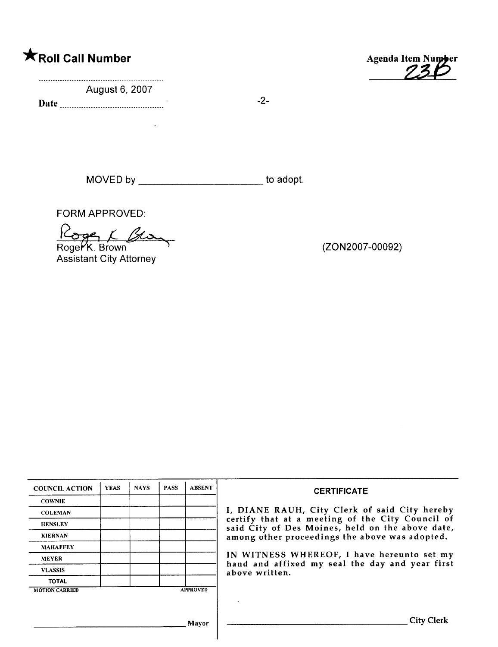August 6, 2007

Date  $\frac{1}{2}$ -2-

\*Roll Call Number Agenda Item Number

MOVED by \_\_\_\_\_\_\_\_\_\_\_\_\_\_\_\_\_\_\_\_\_\_\_\_\_\_\_ to adopt.

FORM APPROVED:

FORM APPROVED:<br>Roger K. Brown

Assistant City Attorney

(ZON2007 -00092)

| <b>COUNCIL ACTION</b> | <b>YEAS</b> | <b>NAYS</b> | <b>PASS</b> | <b>ABSENT</b>   | <b>CERTIFICATE</b>                                                                                   |
|-----------------------|-------------|-------------|-------------|-----------------|------------------------------------------------------------------------------------------------------|
| <b>COWNIE</b>         |             |             |             |                 |                                                                                                      |
| <b>COLEMAN</b>        |             |             |             |                 | I, DIANE RAUH, City Clerk of said City hereby                                                        |
| <b>HENSLEY</b>        |             |             |             |                 | certify that at a meeting of the City Council of<br>said City of Des Moines, held on the above date, |
| <b>KIERNAN</b>        |             |             |             |                 | among other proceedings the above was adopted.                                                       |
| <b>MAHAFFEY</b>       |             |             |             |                 |                                                                                                      |
| <b>MEYER</b>          |             |             |             |                 | IN WITNESS WHEREOF, I have hereunto set my<br>hand and affixed my seal the day and year first        |
| <b>VLASSIS</b>        |             |             |             |                 | above written.                                                                                       |
| <b>TOTAL</b>          |             |             |             |                 |                                                                                                      |
| <b>MOTION CARRIED</b> |             |             |             | <b>APPROVED</b> |                                                                                                      |
|                       |             |             |             |                 |                                                                                                      |
|                       |             |             |             |                 |                                                                                                      |
|                       |             |             |             | Mayor           | City                                                                                                 |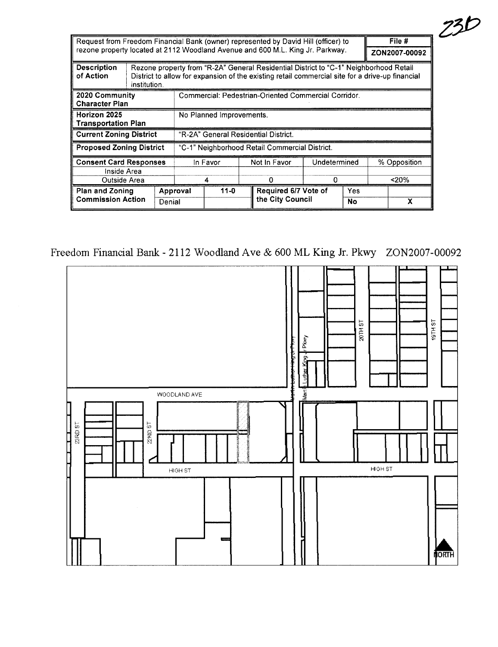|                                                 |                                                                                |                                                      | Request from Freedom Financial Bank (owner) represented by David Hill (officer) to                                                                                                       |  |              |                      |               |       |              | File # |
|-------------------------------------------------|--------------------------------------------------------------------------------|------------------------------------------------------|------------------------------------------------------------------------------------------------------------------------------------------------------------------------------------------|--|--------------|----------------------|---------------|-------|--------------|--------|
|                                                 | rezone property located at 2112 Woodland Avenue and 600 M.L. King Jr. Parkway. |                                                      |                                                                                                                                                                                          |  |              |                      | ZON2007-00092 |       |              |        |
| <b>Description</b><br>of Action<br>institution. |                                                                                |                                                      | Rezone property from "R-2A" General Residential District to "C-1" Neighborhood Retail<br>District to allow for expansion of the existing retail commercial site for a drive-up financial |  |              |                      |               |       |              |        |
| 2020 Community<br><b>Character Plan</b>         |                                                                                | Commercial: Pedestrian-Oriented Commercial Corridor. |                                                                                                                                                                                          |  |              |                      |               |       |              |        |
| Horizon 2025<br><b>Transportation Plan</b>      |                                                                                | No Planned Improvements.                             |                                                                                                                                                                                          |  |              |                      |               |       |              |        |
| <b>Current Zoning District</b>                  |                                                                                |                                                      | "R-2A" General Residential District.                                                                                                                                                     |  |              |                      |               |       |              |        |
| <b>Proposed Zoning District</b>                 |                                                                                | "C-1" Neighborhood Retail Commercial District.       |                                                                                                                                                                                          |  |              |                      |               |       |              |        |
| <b>Consent Card Responses</b>                   |                                                                                | In Favor                                             |                                                                                                                                                                                          |  | Not In Favor | Undetermined         |               |       | % Opposition |        |
| Inside Area                                     |                                                                                |                                                      |                                                                                                                                                                                          |  |              |                      |               |       |              |        |
| Outside Area                                    |                                                                                | 4                                                    |                                                                                                                                                                                          |  | n            | 0                    |               | < 20% |              |        |
|                                                 | <b>Plan and Zoning</b><br><b>Commission Action</b><br>Denial                   |                                                      | $11 - 0$<br>Approval                                                                                                                                                                     |  |              | Required 6/7 Vote of |               | Yes   |              |        |
|                                                 |                                                                                |                                                      |                                                                                                                                                                                          |  |              | the City Council     |               | No    |              | x      |

 $23D$ 

Freedom Financial Bank - 2112 Woodland Ave & 600 ML King Jr. Pkwy ZON2007-00092

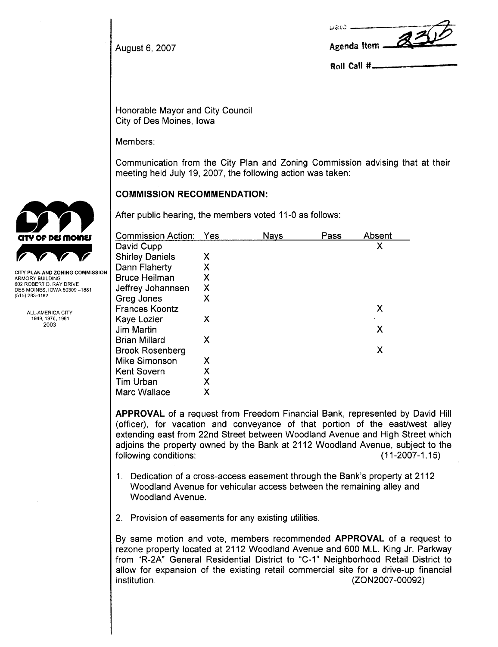| uate<br>$\mathcal{Z}$ |
|-----------------------|
| Agenda Item           |

Roll Call  $#$ 

August 6, 2007

Honorable Mayor and City Council City of Des Moines, Iowa

Members:

Communication from the City Plan and Zoning Commission advising that at their meeting held July 19, 2007, the following action was taken:

# COMMISSION RECOMMENDATION:

After public hearing, the members voted 11-0 as follows:

| <b>Commission Action:</b> | Yes | Nays | Pass | Absent |
|---------------------------|-----|------|------|--------|
| David Cupp                |     |      |      | Χ      |
| <b>Shirley Daniels</b>    | Х   |      |      |        |
| Dann Flaherty             | Χ   |      |      |        |
| Bruce Heilman             | Χ   |      |      |        |
| Jeffrey Johannsen         | Χ   |      |      |        |
| Greg Jones                | Χ   |      |      |        |
| <b>Frances Koontz</b>     |     |      |      | Х      |
| Kaye Lozier               | х   |      |      |        |
| Jim Martin                |     |      |      | Χ      |
| <b>Brian Millard</b>      | Χ   |      |      |        |
| <b>Brook Rosenberg</b>    |     |      |      | Χ      |
| Mike Simonson             | X   |      |      |        |
| <b>Kent Sovern</b>        | x   |      |      |        |
| Tim Urban                 | x   |      |      |        |
| Marc Wallace              | x   |      |      |        |

APPROVAL of a request from Freedom Financial Bank, represented by David Hill (officer), for vacation and conveyance of that portion of the east/west alley extending east from 22nd Street between Woodland Avenue and High Street which adjoins the property owned by the Bank at 2112 Woodland Avenue, subject to the following conditions: (11-2007-1.15)

- 1. Dedication of a cross-access easement through the Bank's property at 2112 Woodland Avenue for vehicular access between the remaining alley and Woodland Avenue.
- 2. Provision of easements for any existing utilities.

By same motion and vote, members recommended APPROVAL of a request to rezone property located at 2112 Woodland Avenue and 600 M. L. King Jr. Parkway from "R-2A" General Residential District to "C-1" Neighborhood Retail District to allow for expansion of the existing retail commercial site for a drive-up financial institution. (ZON2007 -00092)



CITY PLAN AND ZONING COMMISSION ARMORY BUILDING 602 ROBERT D. RAY DRIVE DES MOINES. IOWA 50309 -1881 (515) 283-4182

> ALL-AMERICA CITY 1949,1976,1981 2003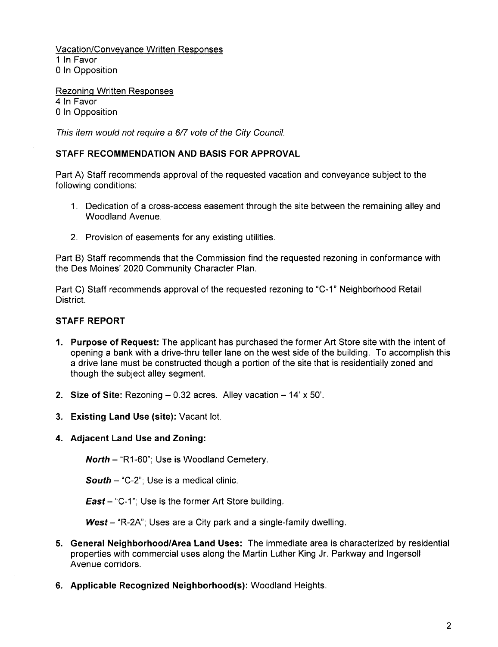Vacation/Conveyance Written Responses 1 In Favor o In Opposition

Rezoning Written Responses 4 In Favor o In Opposition

This item would not require a 6/7 vote of the City Council.

# STAFF RECOMMENDATION AND BASIS FOR APPROVAL

Part A) Staff recommends approval of the requested vacation and conveyance subject to the following conditions:

- 1. Dedication of a cross-access easement through the site between the remaining alley and Woodland Avenue.
- 2. Provision of easements for any existing utilities.

Part B) Staff recommends that the Commission find the requested rezoning in conformance with the Des Moines' 2020 Community Character Plan.

Part C) Staff recommends approval of the requested rezoning to "C-1" Neighborhood Retail District.

### STAFF REPORT

- 1. Purpose of Request: The applicant has purchased the former Art Store site with the intent of opening a bank with a drive-thru teller lane on the west side of the building. To accomplish this a drive lane must be constructed though a portion of the site that is residentially zoned and though the subject alley segment.
- 2. Size of Site: Rezoning  $-0.32$  acres. Alley vacation  $-14' \times 50'$ .
- 3. Existing Land Use (site): Vacant lot.
- 4. Adjacent Land Use and Zoning:

North - "R1-60"; Use is Woodland Cemetery.

**South - "C-2"; Use is a medical clinic.** 

**East**  $-$  "C-1"; Use is the former Art Store building.

 $West - "R-2A"$ ; Uses are a City park and a single-family dwelling.

- 5. General Neighborhood/Area Land Uses: The immediate area is characterized by residential properties with commercial uses along the Martin Luther King Jr. Parkway and Ingersoll Avenue corridors.
- 6. Applicable Recognized Neighborhood(s): Woodland Heights.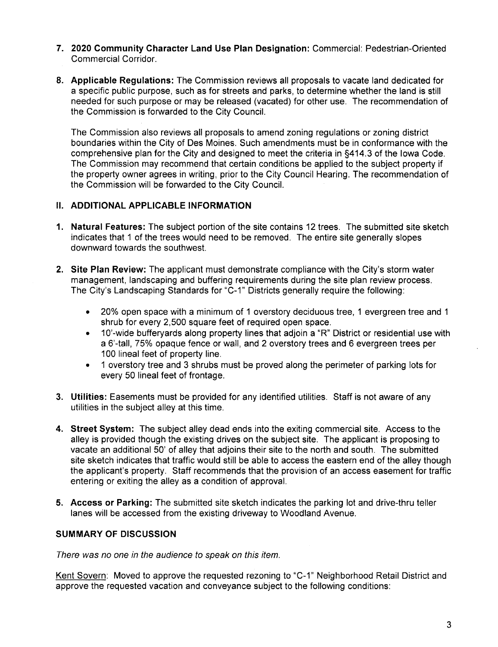- 7. 2020 Community Character Land Use Plan Designation: Commercial: Pedestrian-Oriented Commercial Corridor.
- 8. Applicable Regulations: The Commission reviews all proposals to vacate land dedicated for a specific public purpose, such as for streets and parks, to determine whether the land is still needed for such purpose or may be released (vacated) for other use. The recommendation of the Commission is forwarded to the City CounciL.

The Commission also reviews all proposals to amend zoning regulations or zoning district boundaries within the City of Des Moines. Such amendments must be in conformance with the comprehensive plan for the City and designed to meet the criteria in §414.3 of the Iowa Code. The Commission may recommend that certain conditions be applied to the subject property if the property owner agrees in writing, prior to the City Council Hearing. The recommendation of the Commission will be forwarded to the City CounciL.

# II. ADDITIONAL APPLICABLE INFORMATION

- 1. Natural Features: The subject portion of the site contains 12 trees. The submitted site sketch indicates that 1 of the trees would need to be removed. The entire site generally slopes downward towards the southwest.
- 2. Site Plan Review: The applicant must demonstrate compliance with the City's storm water management, landscaping and buffering requirements during the site plan review process. The City's Landscaping Standards for "C-1" Districts generally require the following:
	- . 20% open space with a minimum of 1 overstory deciduous tree, 1 evergreen tree and 1 shrub for every 2,500 square feet of required open space.
	- . 10'-wide bufferyards along property lines that adjoin a "R" District or residential use with a 5'-tall, 75% opaque fence or wall, and 2 overstory trees and 5 evergreen trees per 100 lineal feet of property line.
	- . 1 overstory tree and 3 shrubs must be proved along the perimeter of parking lots for every 50 lineal feet of frontage.
- 3. Utilities: Easements must be provided for any identified utilities. Staff is not aware of any utilities in the subject alley at this time.
- 4. Street System: The subject alley dead ends into the exiting commercial site. Access to the alley is provided though the existing drives on the subject site. The applicant is proposing to vacate an additional 50' of alley that adjoins their site to the north and south. The submitted site sketch indicates that traffic would still be able to access the eastern end of the alley though the applicant's property. Staff recommends that the provision of an access easement for traffic entering or exiting the alley as a condition of approvaL.
- 5. Access or Parking: The submitted site sketch indicates the parking lot and drive-thru teller lanes will be accessed from the existing driveway to Woodland Avenue.

# SUMMARY OF DISCUSSION

There was no one in the audience to speak on this item.

Kent Sovern: Moved to approve the requested rezoning to "C-1" Neighborhood Retail District and approve the requested vacation and conveyance subject to the following conditions: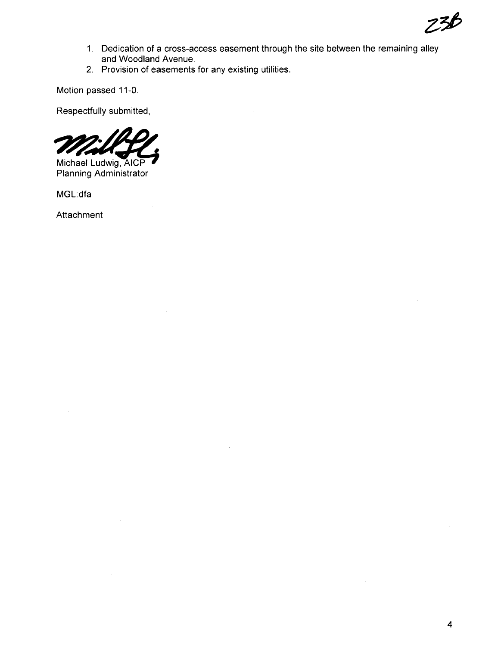

- 1. Dedication of a cross-access easement through the site between the remaining alley and Woodland Avenue.
- 2. Provision of easements for any existing utilities.

Motion passed 11-0.

Respectfully submitted,

Michael Ludwig, AICP

Planning Administrator

MGL:dfa

Attachment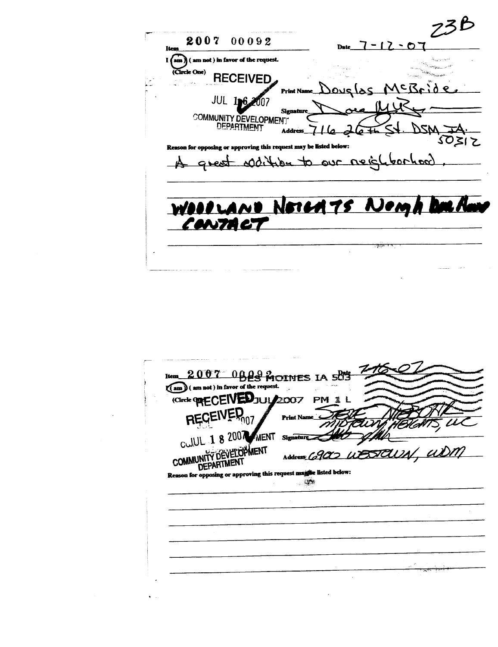2007 00092 Date  $7 - 12 - 07$ Iten in favor of the request.  $\sum$  $\blacksquare$  $($  am not  $)$ (Circle One) **RECEIVED** MCBrid pous las **Print Na** JUL 196 nnz Signatu COMMUNITY DEVELOPMENT DSM Address<sub>11</sub>  $75$  $\overline{\mathcal{A}}$  $5021$ on for opposing or approving this request may be listed below: Rea great white to our neigh toochood WOODLAND NOTCATS NOMA DOLA يجفظ

|                                            | Item 2007 0BBS MOTHES IA 5013                                      |            |
|--------------------------------------------|--------------------------------------------------------------------|------------|
| am ) ( am not ) in favor of the request.   |                                                                    |            |
| Circle <b>ORECEIVED</b> JUIL 2007          | <b>PM</b>                                                          |            |
|                                            | Print Name                                                         |            |
| CULUL 1 8 2007 MENT                        | <b>Signature</b>                                                   |            |
|                                            |                                                                    | BJAUN, UDM |
| COMMUNITY DEVELOPMENT<br><b>DEPARTMENT</b> | Address Co.90C                                                     |            |
|                                            | Reason for opposing or approving this request magnet listed below: |            |
|                                            |                                                                    |            |
|                                            |                                                                    |            |
|                                            |                                                                    |            |
|                                            |                                                                    |            |
|                                            |                                                                    |            |
|                                            |                                                                    |            |
|                                            |                                                                    |            |